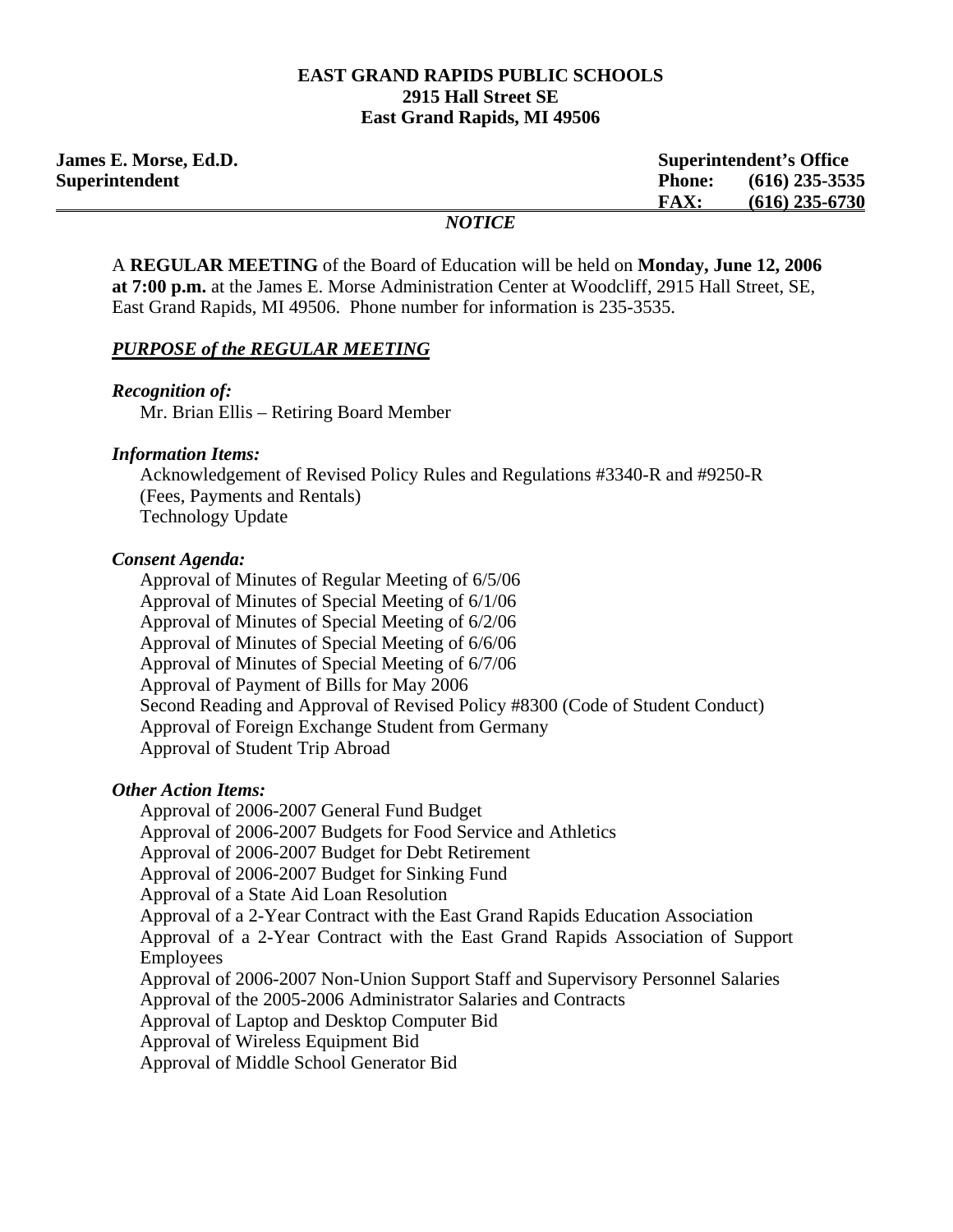#### **EAST GRAND RAPIDS PUBLIC SCHOOLS 2915 Hall Street SE East Grand Rapids, MI 49506**

| <b>James E. Morse, Ed.D.</b> |                   | <b>Superintendent's Office</b> |                  |
|------------------------------|-------------------|--------------------------------|------------------|
| Superintendent               |                   | <b>Phone:</b>                  | $(616)$ 235-3535 |
|                              |                   | FAX:                           | $(616)$ 235-6730 |
|                              | $M\Omega T I C E$ |                                |                  |

### *NOTICE*

A **REGULAR MEETING** of the Board of Education will be held on **Monday, June 12, 2006 at 7:00 p.m.** at the James E. Morse Administration Center at Woodcliff, 2915 Hall Street, SE, East Grand Rapids, MI 49506. Phone number for information is 235-3535.

#### *PURPOSE of the REGULAR MEETING*

*Recognition of:* 

Mr. Brian Ellis – Retiring Board Member

### *Information Items:*

Acknowledgement of Revised Policy Rules and Regulations #3340-R and #9250-R (Fees, Payments and Rentals) Technology Update

#### *Consent Agenda:*

 Approval of Minutes of Regular Meeting of 6/5/06 Approval of Minutes of Special Meeting of 6/1/06 Approval of Minutes of Special Meeting of 6/2/06 Approval of Minutes of Special Meeting of 6/6/06 Approval of Minutes of Special Meeting of 6/7/06 Approval of Payment of Bills for May 2006 Second Reading and Approval of Revised Policy #8300 (Code of Student Conduct) Approval of Foreign Exchange Student from Germany Approval of Student Trip Abroad

### *Other Action Items:*

Approval of 2006-2007 General Fund Budget Approval of 2006-2007 Budgets for Food Service and Athletics Approval of 2006-2007 Budget for Debt Retirement Approval of 2006-2007 Budget for Sinking Fund Approval of a State Aid Loan Resolution Approval of a 2-Year Contract with the East Grand Rapids Education Association Approval of a 2-Year Contract with the East Grand Rapids Association of Support Employees Approval of 2006-2007 Non-Union Support Staff and Supervisory Personnel Salaries Approval of the 2005-2006 Administrator Salaries and Contracts Approval of Laptop and Desktop Computer Bid Approval of Wireless Equipment Bid Approval of Middle School Generator Bid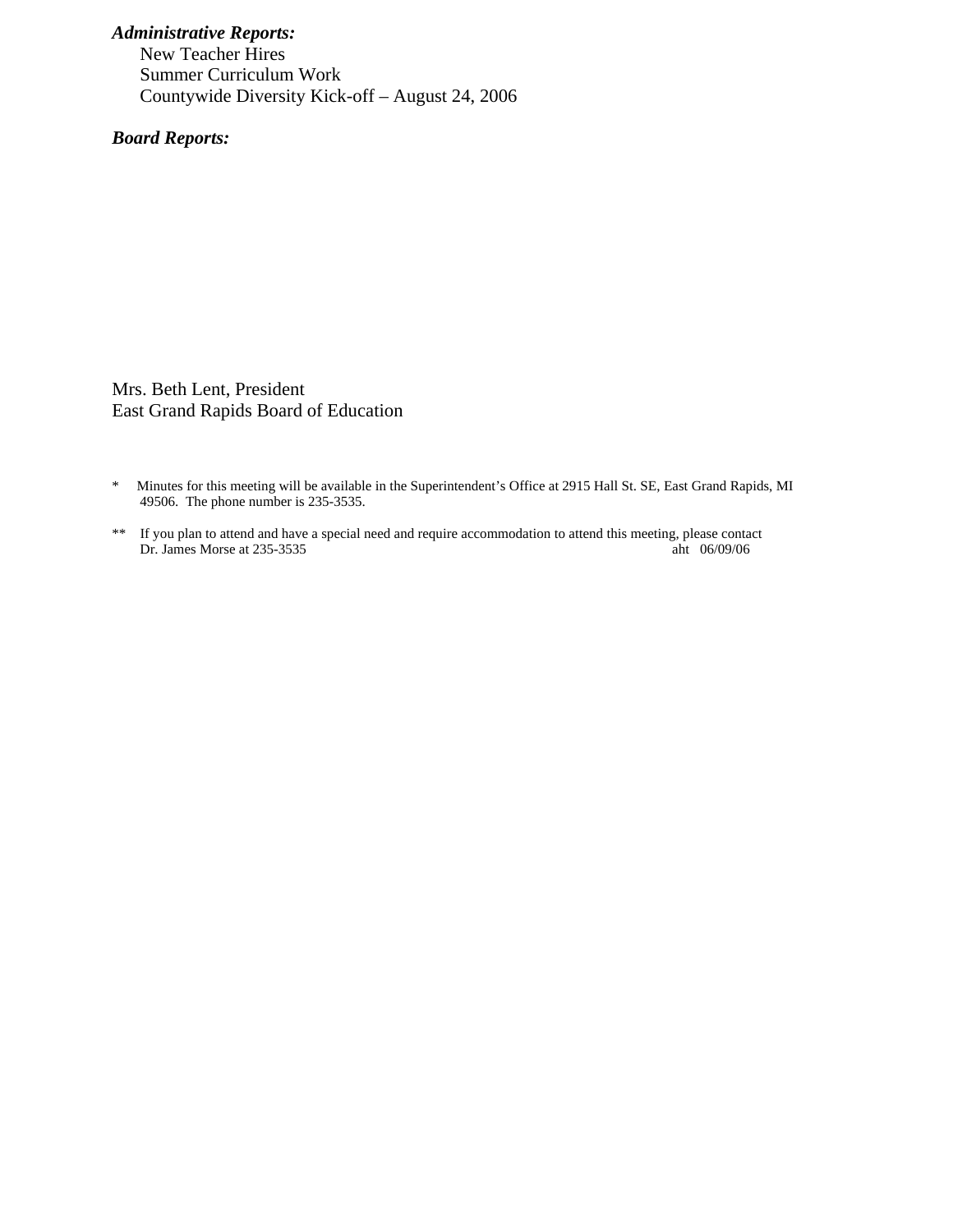## *Administrative Reports:*

New Teacher Hires Summer Curriculum Work Countywide Diversity Kick-off – August 24, 2006

 *Board Reports:* 

Mrs. Beth Lent, President East Grand Rapids Board of Education

- \* Minutes for this meeting will be available in the Superintendent's Office at 2915 Hall St. SE, East Grand Rapids, MI 49506. The phone number is 235-3535.
- \*\* If you plan to attend and have a special need and require accommodation to attend this meeting, please contact Dr. James Morse at 235-3535 aht 06/09/06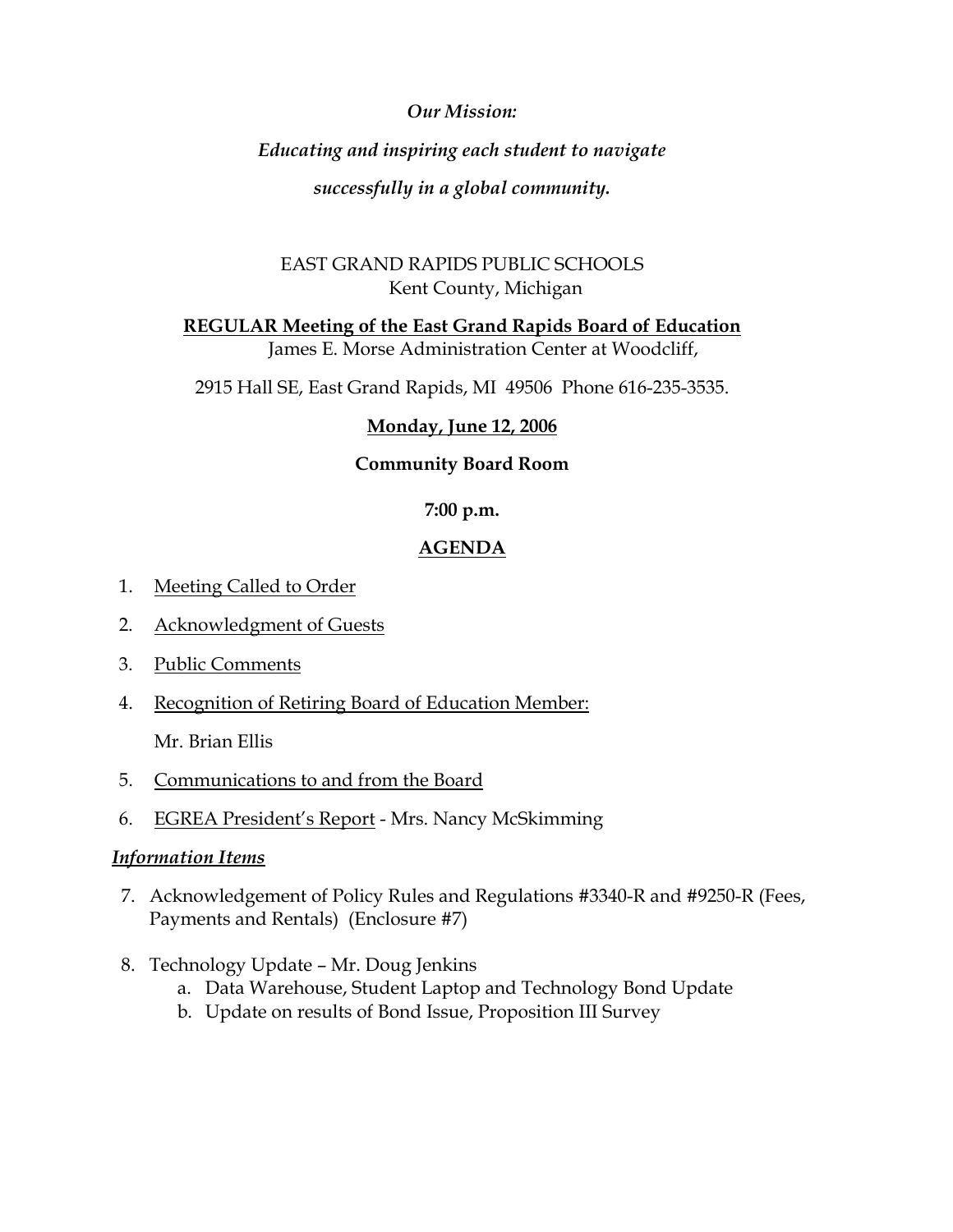# *Our Mission:*

# *Educating and inspiring each student to navigate*

*successfully in a global community.* 

# EAST GRAND RAPIDS PUBLIC SCHOOLS Kent County, Michigan

**REGULAR Meeting of the East Grand Rapids Board of Education**

James E. Morse Administration Center at Woodcliff,

2915 Hall SE, East Grand Rapids, MI 49506 Phone 616-235-3535.

# **Monday, June 12, 2006**

# **Community Board Room**

# **7:00 p.m.**

# **AGENDA**

- 1. Meeting Called to Order
- 2. Acknowledgment of Guests
- 3. Public Comments
- 4. Recognition of Retiring Board of Education Member:

Mr. Brian Ellis

- 5. Communications to and from the Board
- 6. EGREA President's Report Mrs. Nancy McSkimming

## *Information Items*

- 7. Acknowledgement of Policy Rules and Regulations #3340-R and #9250-R (Fees, Payments and Rentals) (Enclosure #7)
- 8. Technology Update Mr. Doug Jenkins
	- a. Data Warehouse, Student Laptop and Technology Bond Update
	- b. Update on results of Bond Issue, Proposition III Survey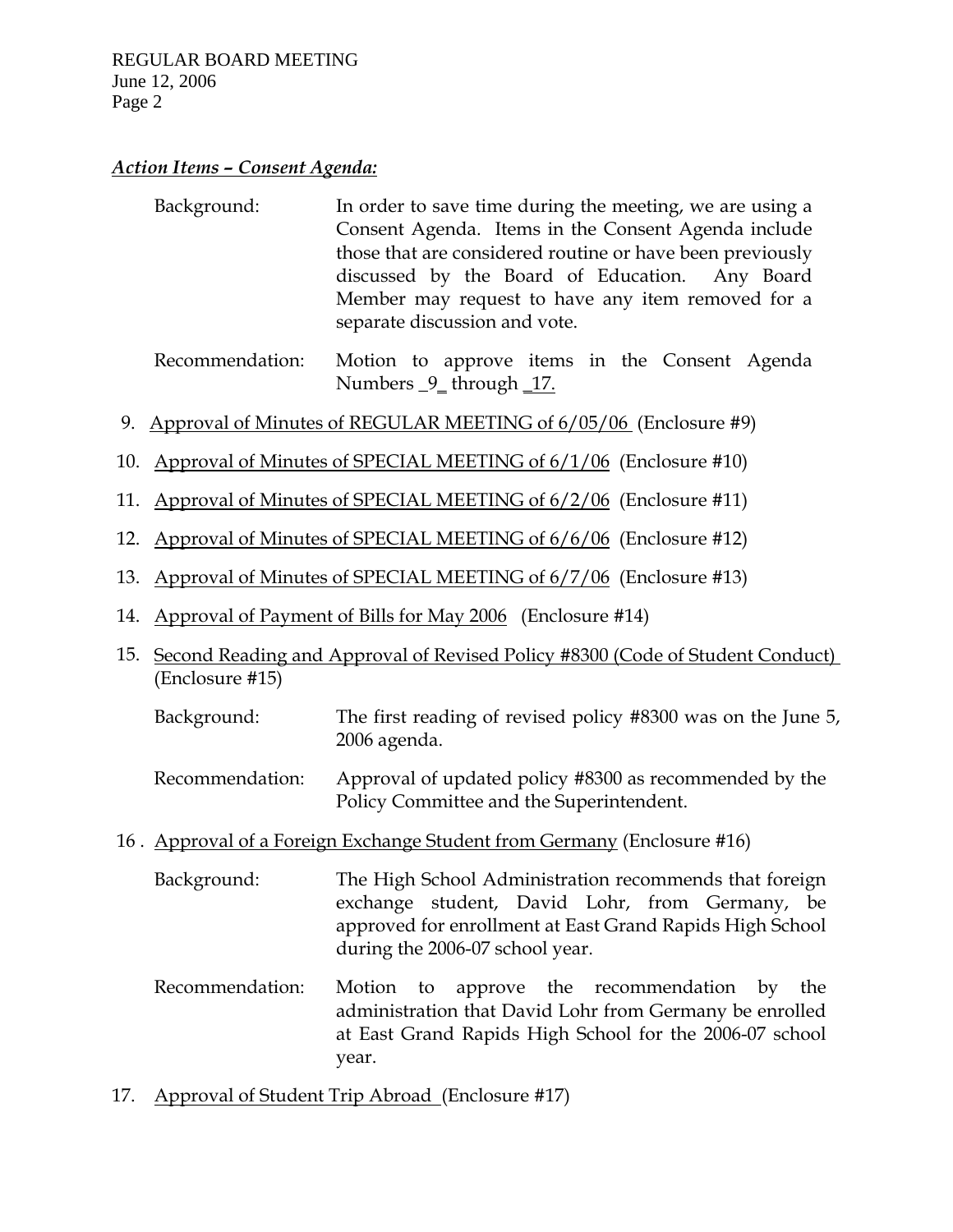### *Action Items – Consent Agenda:*

| Background: | In order to save time during the meeting, we are using a  |  |
|-------------|-----------------------------------------------------------|--|
|             | Consent Agenda. Items in the Consent Agenda include       |  |
|             | those that are considered routine or have been previously |  |
|             | discussed by the Board of Education. Any Board            |  |
|             | Member may request to have any item removed for a         |  |
|             | separate discussion and vote.                             |  |

 Recommendation: Motion to approve items in the Consent Agenda Numbers \_9\_ through \_17.

- 9. Approval of Minutes of REGULAR MEETING of 6/05/06 (Enclosure #9)
- 10. Approval of Minutes of SPECIAL MEETING of 6/1/06 (Enclosure #10)
- 11. Approval of Minutes of SPECIAL MEETING of 6/2/06 (Enclosure #11)
- 12. Approval of Minutes of SPECIAL MEETING of 6/6/06 (Enclosure #12)
- 13. Approval of Minutes of SPECIAL MEETING of 6/7/06 (Enclosure #13)
- 14. Approval of Payment of Bills for May 2006 (Enclosure #14)
- 15. Second Reading and Approval of Revised Policy #8300 (Code of Student Conduct) (Enclosure #15)
	- Background: The first reading of revised policy #8300 was on the June 5, 2006 agenda.
	- Recommendation: Approval of updated policy #8300 as recommended by the Policy Committee and the Superintendent.
- 16 . Approval of a Foreign Exchange Student from Germany (Enclosure #16)

 Background: The High School Administration recommends that foreign exchange student, David Lohr, from Germany, be approved for enrollment at East Grand Rapids High School during the 2006-07 school year.

- Recommendation: Motion to approve the recommendation by the administration that David Lohr from Germany be enrolled at East Grand Rapids High School for the 2006-07 school year.
- 17. Approval of Student Trip Abroad (Enclosure #17)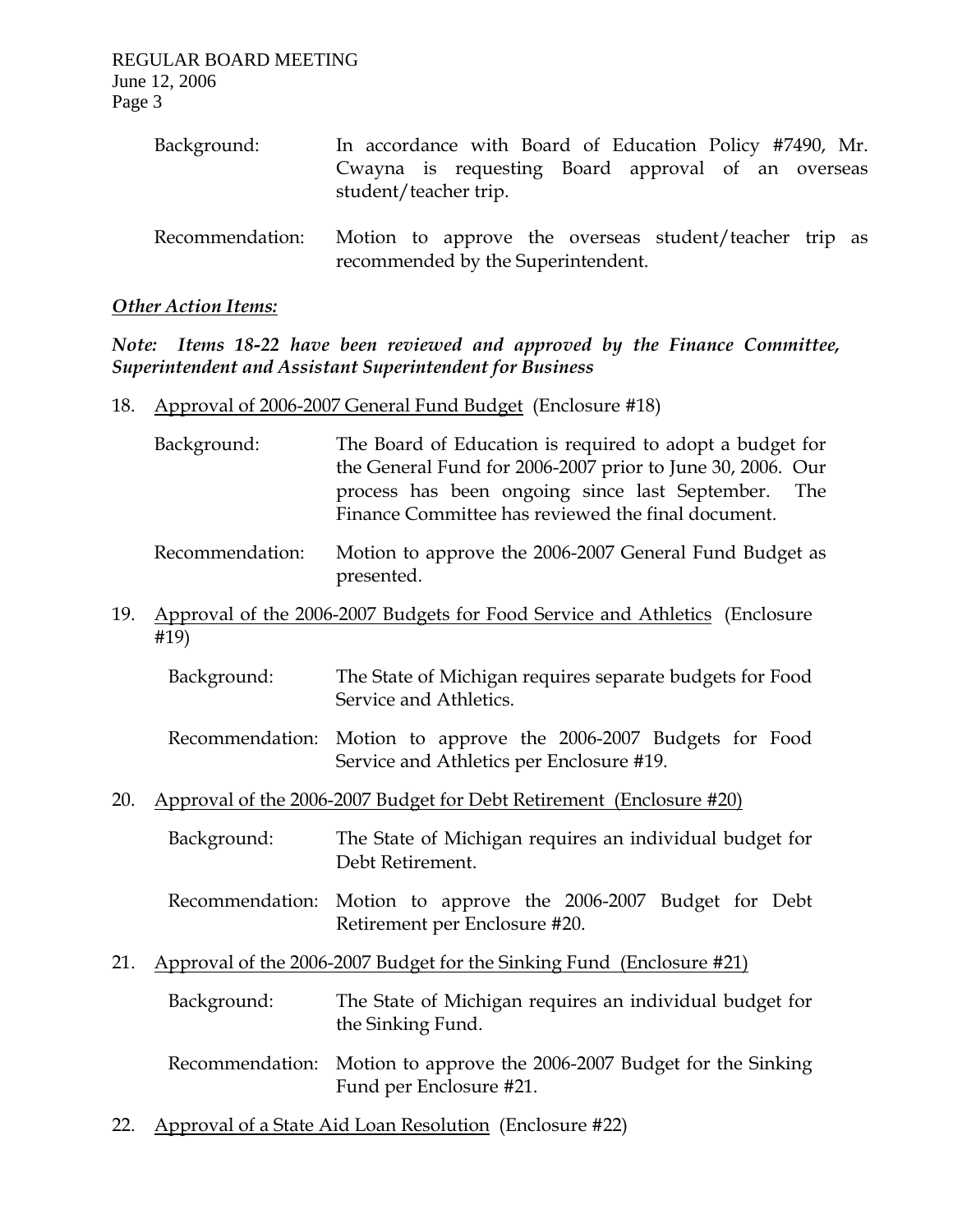| Background:     | In accordance with Board of Education Policy #7490, Mr.<br>Cwayna is requesting Board approval of an overseas<br>student/teacher trip. |
|-----------------|----------------------------------------------------------------------------------------------------------------------------------------|
| Recommendation: | Motion to approve the overseas student/teacher trip as<br>recommended by the Superintendent.                                           |

### *Other Action Items:*

*Note: Items 18-22 have been reviewed and approved by the Finance Committee, Superintendent and Assistant Superintendent for Business* 

- 18. Approval of 2006-2007 General Fund Budget (Enclosure #18)
	- Background: The Board of Education is required to adopt a budget for the General Fund for 2006-2007 prior to June 30, 2006. Our process has been ongoing since last September. The Finance Committee has reviewed the final document.
	- Recommendation: Motion to approve the 2006-2007 General Fund Budget as presented.
- 19. Approval of the 2006-2007 Budgets for Food Service and Athletics (Enclosure #19)
	- Background: The State of Michigan requires separate budgets for Food Service and Athletics.
	- Recommendation: Motion to approve the 2006-2007 Budgets for Food Service and Athletics per Enclosure #19.
- 20. Approval of the 2006-2007 Budget for Debt Retirement (Enclosure #20)
	- Background: The State of Michigan requires an individual budget for Debt Retirement.
	- Recommendation: Motion to approve the 2006-2007 Budget for Debt Retirement per Enclosure #20.
- 21. Approval of the 2006-2007 Budget for the Sinking Fund (Enclosure #21)
	- Background: The State of Michigan requires an individual budget for the Sinking Fund.
	- Recommendation: Motion to approve the 2006-2007 Budget for the Sinking Fund per Enclosure #21.
- 22. Approval of a State Aid Loan Resolution (Enclosure #22)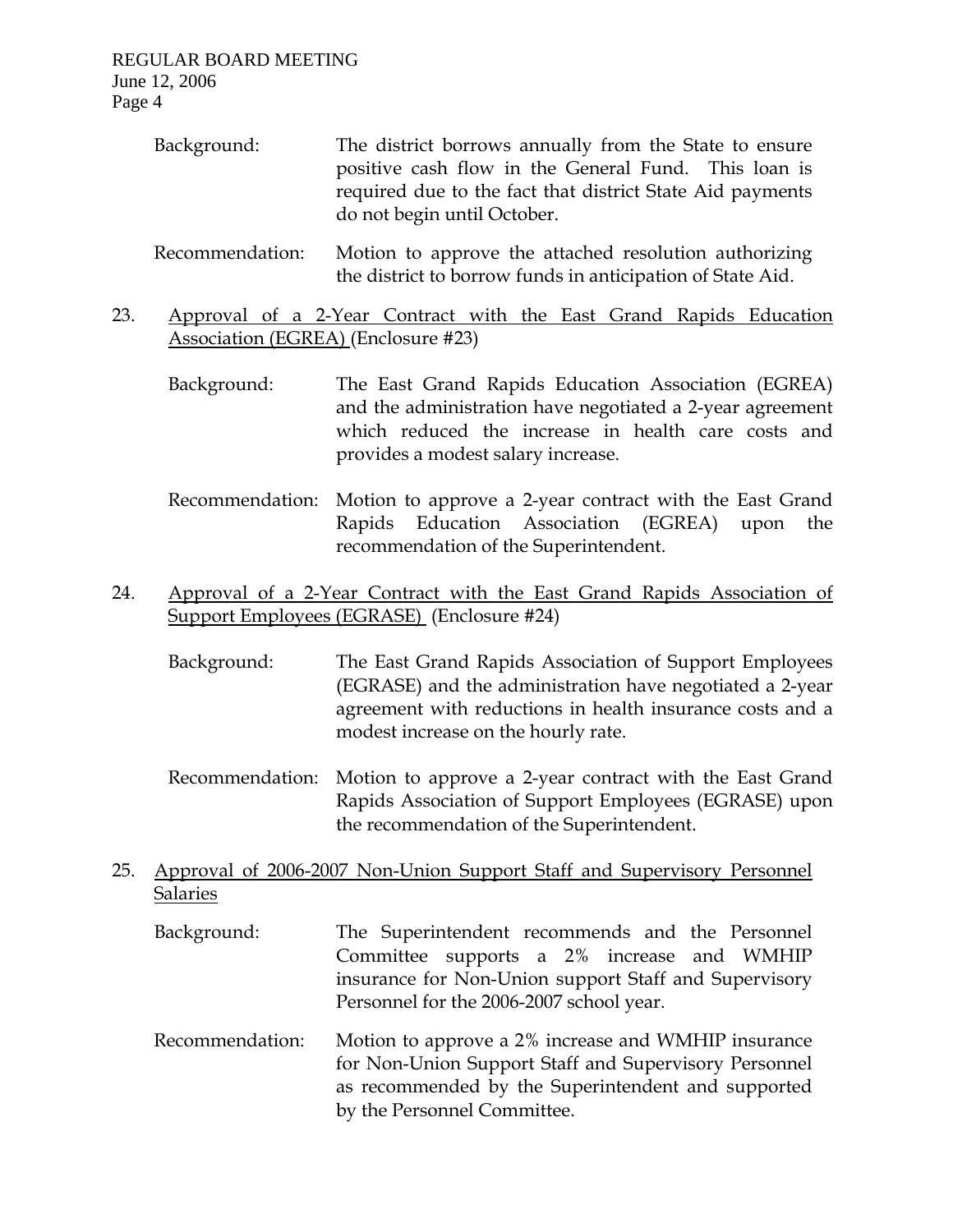| Background:     | The district borrows annually from the State to ensure<br>positive cash flow in the General Fund. This loan is<br>required due to the fact that district State Aid payments<br>do not begin until October. |
|-----------------|------------------------------------------------------------------------------------------------------------------------------------------------------------------------------------------------------------|
| Recommendation: | Motion to approve the attached resolution authorizing                                                                                                                                                      |

- the district to borrow funds in anticipation of State Aid. 23. Approval of a 2-Year Contract with the East Grand Rapids Education
	- Association (EGREA) (Enclosure #23)
		- Background: The East Grand Rapids Education Association (EGREA) and the administration have negotiated a 2-year agreement which reduced the increase in health care costs and provides a modest salary increase.
		- Recommendation: Motion to approve a 2-year contract with the East Grand Rapids Education Association (EGREA) upon the recommendation of the Superintendent.
- 24. Approval of a 2-Year Contract with the East Grand Rapids Association of Support Employees (EGRASE) (Enclosure #24)
	- Background: The East Grand Rapids Association of Support Employees (EGRASE) and the administration have negotiated a 2-year agreement with reductions in health insurance costs and a modest increase on the hourly rate.
	- Recommendation: Motion to approve a 2-year contract with the East Grand Rapids Association of Support Employees (EGRASE) upon the recommendation of the Superintendent.
- 25. Approval of 2006-2007 Non-Union Support Staff and Supervisory Personnel Salaries
	- Background: The Superintendent recommends and the Personnel Committee supports a 2% increase and WMHIP insurance for Non-Union support Staff and Supervisory Personnel for the 2006-2007 school year.
	- Recommendation: Motion to approve a 2% increase and WMHIP insurance for Non-Union Support Staff and Supervisory Personnel as recommended by the Superintendent and supported by the Personnel Committee.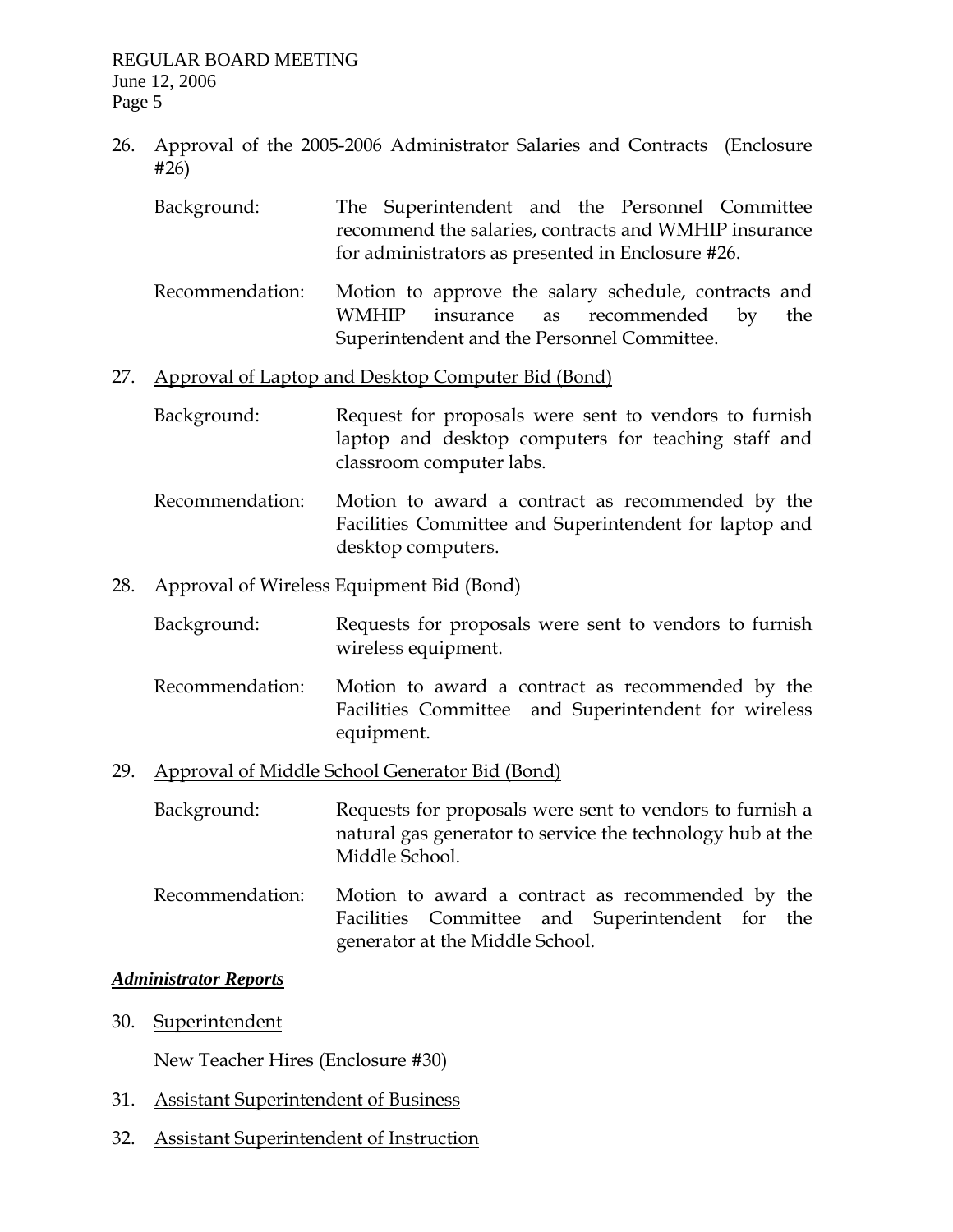- 26. Approval of the 2005-2006 Administrator Salaries and Contracts (Enclosure #26)
	- Background: The Superintendent and the Personnel Committee recommend the salaries, contracts and WMHIP insurance for administrators as presented in Enclosure #26.
	- Recommendation: Motion to approve the salary schedule, contracts and WMHIP insurance as recommended by the Superintendent and the Personnel Committee.

### 27. Approval of Laptop and Desktop Computer Bid (Bond)

- Background: Request for proposals were sent to vendors to furnish laptop and desktop computers for teaching staff and classroom computer labs.
- Recommendation: Motion to award a contract as recommended by the Facilities Committee and Superintendent for laptop and desktop computers.

## 28. Approval of Wireless Equipment Bid (Bond)

- Background: Requests for proposals were sent to vendors to furnish wireless equipment.
- Recommendation: Motion to award a contract as recommended by the Facilities Committee and Superintendent for wireless equipment.

## 29. Approval of Middle School Generator Bid (Bond)

 Background: Requests for proposals were sent to vendors to furnish a natural gas generator to service the technology hub at the Middle School.

 Recommendation: Motion to award a contract as recommended by the Facilities Committee and Superintendent for the generator at the Middle School.

## *Administrator Reports*

30. Superintendent

New Teacher Hires (Enclosure #30)

- 31. Assistant Superintendent of Business
- 32. Assistant Superintendent of Instruction